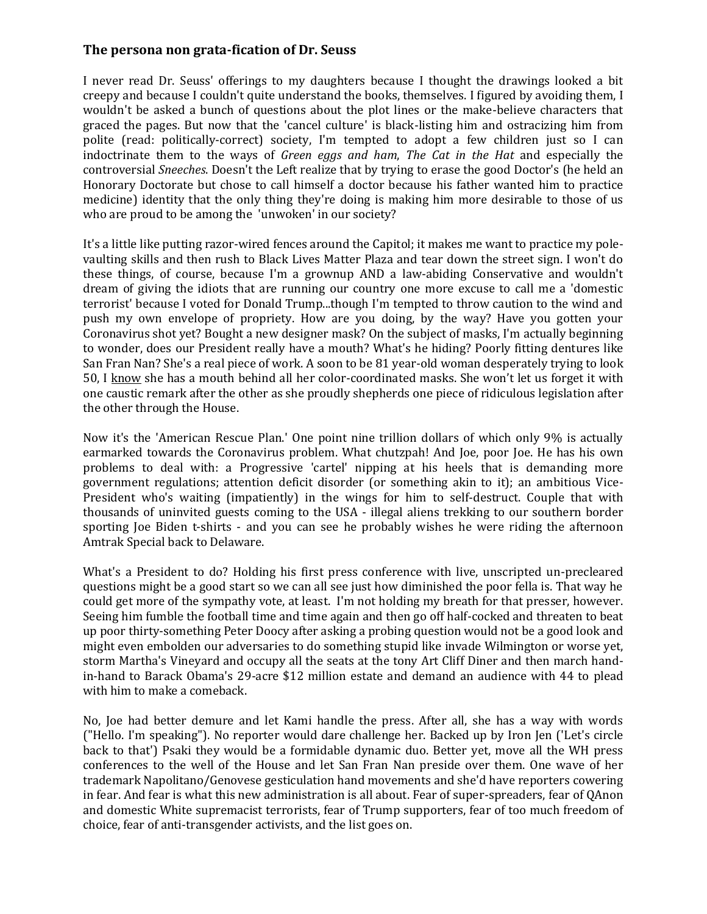## **The persona non grata-fication of Dr. Seuss**

I never read Dr. Seuss' offerings to my daughters because I thought the drawings looked a bit creepy and because I couldn't quite understand the books, themselves. I figured by avoiding them, I wouldn't be asked a bunch of questions about the plot lines or the make-believe characters that graced the pages. But now that the 'cancel culture' is black-listing him and ostracizing him from polite (read: politically-correct) society, I'm tempted to adopt a few children just so I can indoctrinate them to the ways of *Green eggs and ham*, *The Cat in the Hat* and especially the controversial *Sneeches*. Doesn't the Left realize that by trying to erase the good Doctor's (he held an Honorary Doctorate but chose to call himself a doctor because his father wanted him to practice medicine) identity that the only thing they're doing is making him more desirable to those of us who are proud to be among the 'unwoken' in our society?

It's a little like putting razor-wired fences around the Capitol; it makes me want to practice my polevaulting skills and then rush to Black Lives Matter Plaza and tear down the street sign. I won't do these things, of course, because I'm a grownup AND a law-abiding Conservative and wouldn't dream of giving the idiots that are running our country one more excuse to call me a 'domestic terrorist' because I voted for Donald Trump...though I'm tempted to throw caution to the wind and push my own envelope of propriety. How are you doing, by the way? Have you gotten your Coronavirus shot yet? Bought a new designer mask? On the subject of masks, I'm actually beginning to wonder, does our President really have a mouth? What's he hiding? Poorly fitting dentures like San Fran Nan? She's a real piece of work. A soon to be 81 year-old woman desperately trying to look 50, I know she has a mouth behind all her color-coordinated masks. She won't let us forget it with one caustic remark after the other as she proudly shepherds one piece of ridiculous legislation after the other through the House.

Now it's the 'American Rescue Plan.' One point nine trillion dollars of which only 9% is actually earmarked towards the Coronavirus problem. What chutzpah! And Joe, poor Joe. He has his own problems to deal with: a Progressive 'cartel' nipping at his heels that is demanding more government regulations; attention deficit disorder (or something akin to it); an ambitious Vice-President who's waiting (impatiently) in the wings for him to self-destruct. Couple that with thousands of uninvited guests coming to the USA - illegal aliens trekking to our southern border sporting Joe Biden t-shirts - and you can see he probably wishes he were riding the afternoon Amtrak Special back to Delaware.

What's a President to do? Holding his first press conference with live, unscripted un-precleared questions might be a good start so we can all see just how diminished the poor fella is. That way he could get more of the sympathy vote, at least. I'm not holding my breath for that presser, however. Seeing him fumble the football time and time again and then go off half-cocked and threaten to beat up poor thirty-something Peter Doocy after asking a probing question would not be a good look and might even embolden our adversaries to do something stupid like invade Wilmington or worse yet, storm Martha's Vineyard and occupy all the seats at the tony Art Cliff Diner and then march handin-hand to Barack Obama's 29-acre \$12 million estate and demand an audience with 44 to plead with him to make a comeback.

No, Joe had better demure and let Kami handle the press. After all, she has a way with words ("Hello. I'm speaking"). No reporter would dare challenge her. Backed up by Iron Jen ('Let's circle back to that') Psaki they would be a formidable dynamic duo. Better yet, move all the WH press conferences to the well of the House and let San Fran Nan preside over them. One wave of her trademark Napolitano/Genovese gesticulation hand movements and she'd have reporters cowering in fear. And fear is what this new administration is all about. Fear of super-spreaders, fear of QAnon and domestic White supremacist terrorists, fear of Trump supporters, fear of too much freedom of choice, fear of anti-transgender activists, and the list goes on.